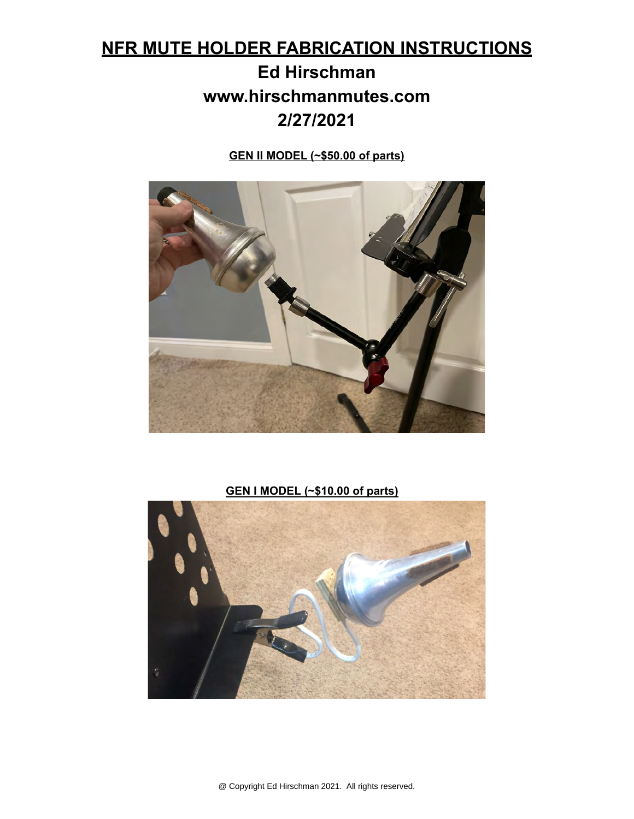## **NFR MUTE HOLDER FABRICATION INSTRUCTIONS Ed Hirschman www.hirschmanmutes.com 2/27/2021**

**GEN II MODEL (~\$50.00 of parts)**



**GEN I MODEL (~\$10.00 of parts)**

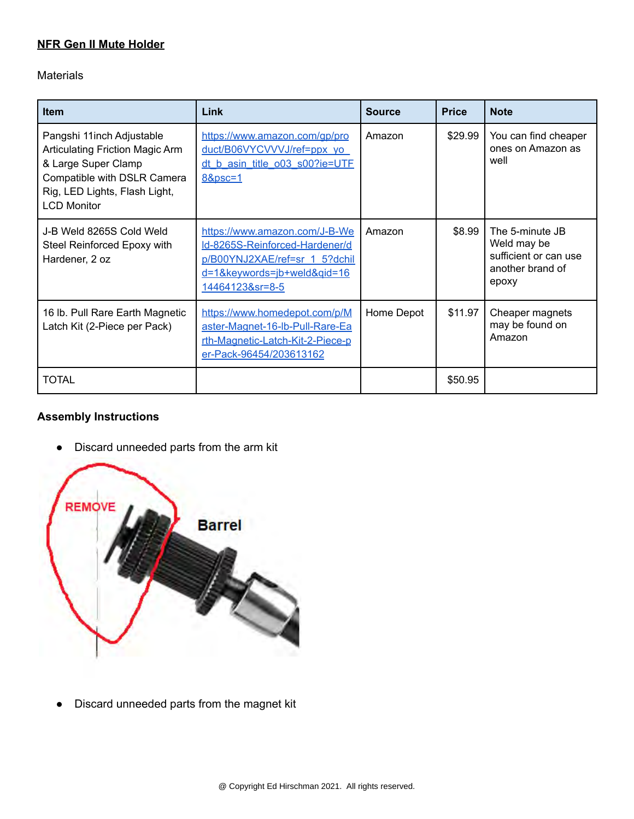## **NFR Gen II Mute Holder**

**Materials** 

| Item                                                                                                                                                                       | Link                                                                                                                                               | <b>Source</b> | <b>Price</b> | <b>Note</b>                                                                          |
|----------------------------------------------------------------------------------------------------------------------------------------------------------------------------|----------------------------------------------------------------------------------------------------------------------------------------------------|---------------|--------------|--------------------------------------------------------------------------------------|
| Pangshi 11 inch Adjustable<br>Articulating Friction Magic Arm<br>& Large Super Clamp<br>Compatible with DSLR Camera<br>Rig, LED Lights, Flash Light,<br><b>LCD Monitor</b> | https://www.amazon.com/gp/pro<br>duct/B06VYCVVVJ/ref=ppx yo<br>dt b asin_title_o03_s00?ie=UTF<br>$88$ psc=1                                        | Amazon        | \$29.99      | You can find cheaper<br>ones on Amazon as<br>well                                    |
| J-B Weld 8265S Cold Weld<br>Steel Reinforced Epoxy with<br>Hardener, 2 oz                                                                                                  | https://www.amazon.com/J-B-We<br>Id-8265S-Reinforced-Hardener/d<br>p/B00YNJ2XAE/ref=sr 1 5?dchil<br>d=1&keywords=jb+weld&gid=16<br>14464123&sr=8-5 | Amazon        | \$8.99       | The 5-minute JB<br>Weld may be<br>sufficient or can use<br>another brand of<br>epoxy |
| 16 lb. Pull Rare Earth Magnetic<br>Latch Kit (2-Piece per Pack)                                                                                                            | https://www.homedepot.com/p/M<br>aster-Magnet-16-lb-Pull-Rare-Ea<br>rth-Magnetic-Latch-Kit-2-Piece-p<br>er-Pack-96454/203613162                    | Home Depot    | \$11.97      | Cheaper magnets<br>may be found on<br>Amazon                                         |
| <b>TOTAL</b>                                                                                                                                                               |                                                                                                                                                    |               | \$50.95      |                                                                                      |

## **Assembly Instructions**

● Discard unneeded parts from the arm kit



Discard unneeded parts from the magnet kit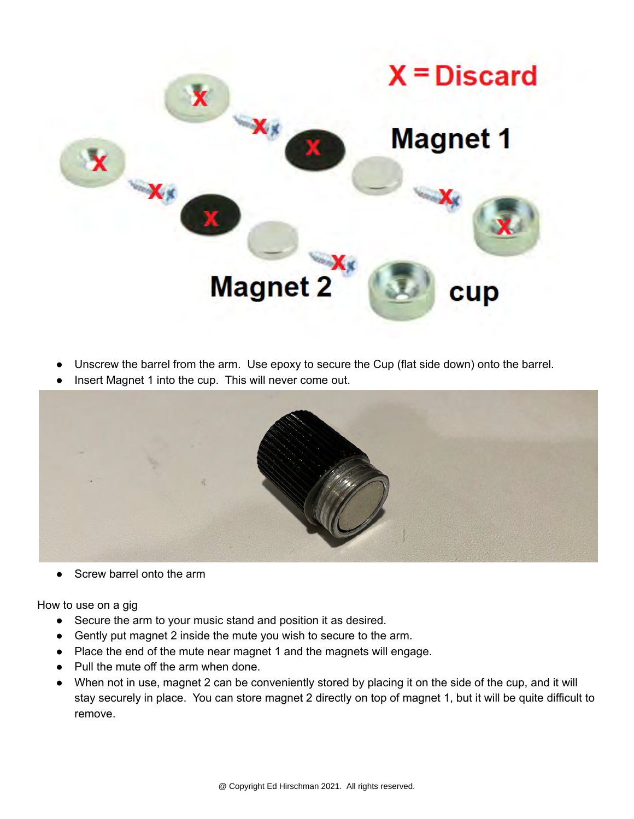

- Unscrew the barrel from the arm. Use epoxy to secure the Cup (flat side down) onto the barrel.
- Insert Magnet 1 into the cup. This will never come out.



● Screw barrel onto the arm

How to use on a gig

- Secure the arm to your music stand and position it as desired.
- Gently put magnet 2 inside the mute you wish to secure to the arm.
- Place the end of the mute near magnet 1 and the magnets will engage.
- Pull the mute off the arm when done.
- When not in use, magnet 2 can be conveniently stored by placing it on the side of the cup, and it will stay securely in place. You can store magnet 2 directly on top of magnet 1, but it will be quite difficult to remove.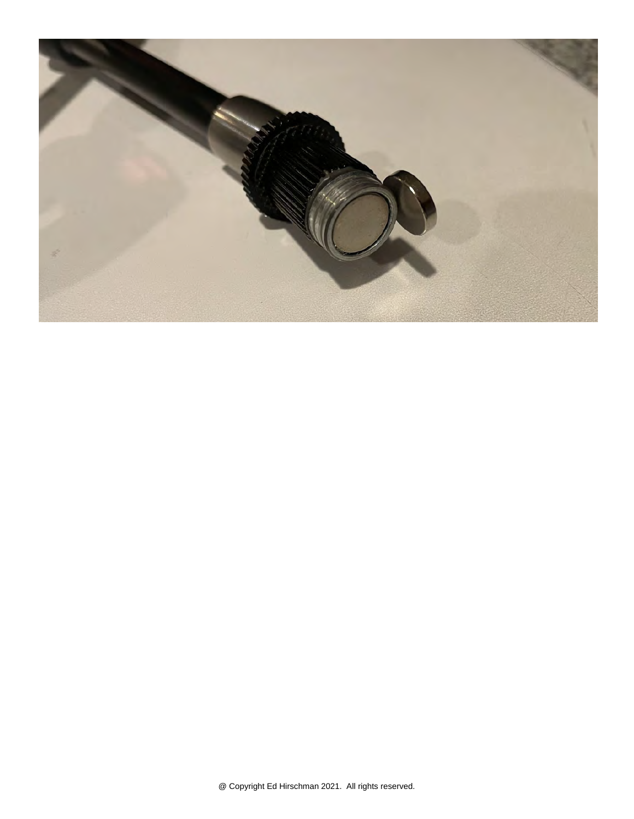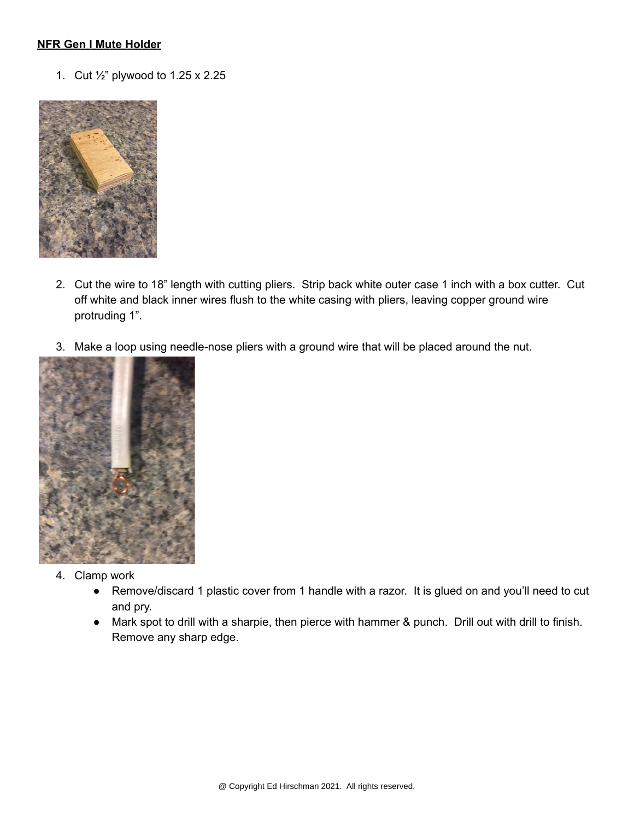## **NFR Gen I Mute Holder**

1. Cut ½" plywood to 1.25 x 2.25



- 2. Cut the wire to 18" length with cutting pliers. Strip back white outer case 1 inch with a box cutter. Cut off white and black inner wires flush to the white casing with pliers, leaving copper ground wire protruding 1".
- 3. Make a loop using needle-nose pliers with a ground wire that will be placed around the nut.



- 4. Clamp work
	- Remove/discard 1 plastic cover from 1 handle with a razor. It is glued on and you'll need to cut and pry.
	- Mark spot to drill with a sharpie, then pierce with hammer & punch. Drill out with drill to finish. Remove any sharp edge.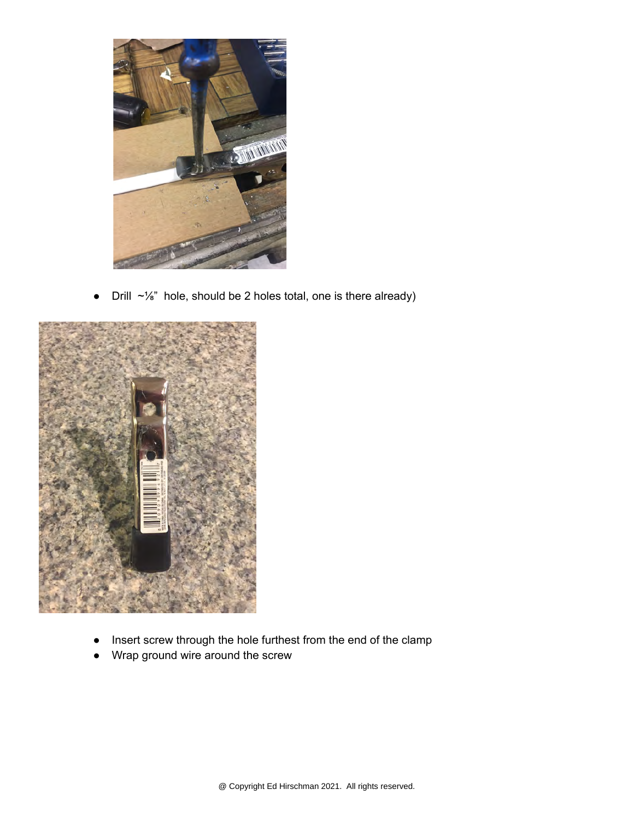

• Drill  $\sim$ <sup>1/8"</sup> hole, should be 2 holes total, one is there already)



- Insert screw through the hole furthest from the end of the clamp
- Wrap ground wire around the screw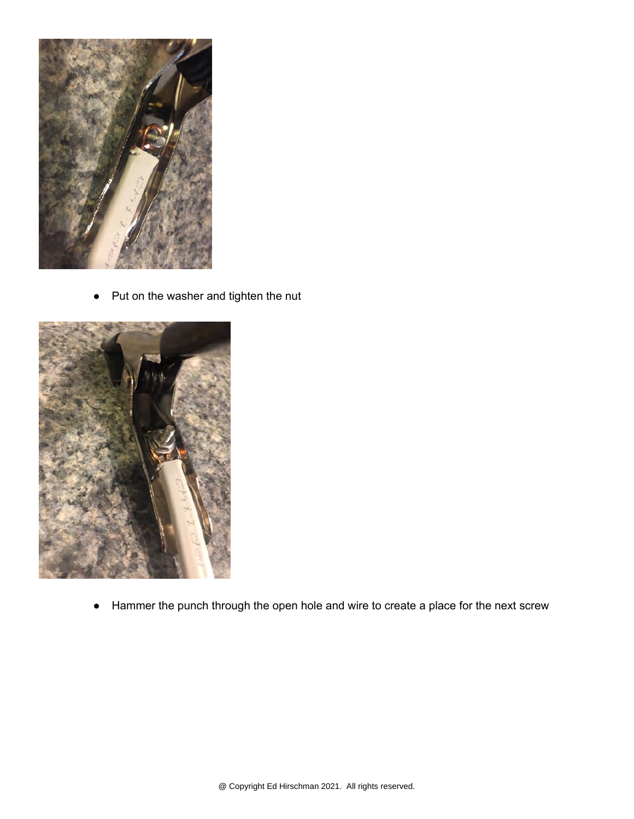

● Put on the washer and tighten the nut



● Hammer the punch through the open hole and wire to create a place for the next screw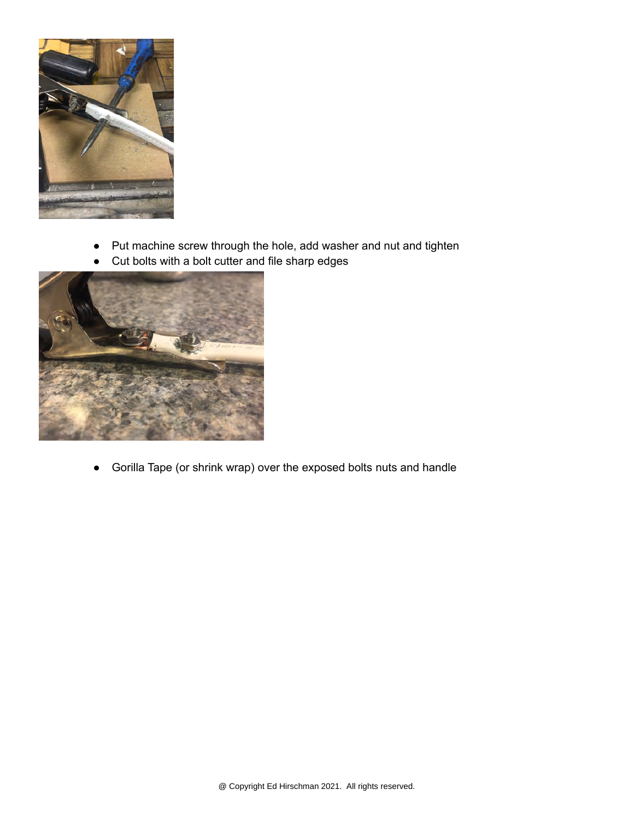

- Put machine screw through the hole, add washer and nut and tighten
- Cut bolts with a bolt cutter and file sharp edges



● Gorilla Tape (or shrink wrap) over the exposed bolts nuts and handle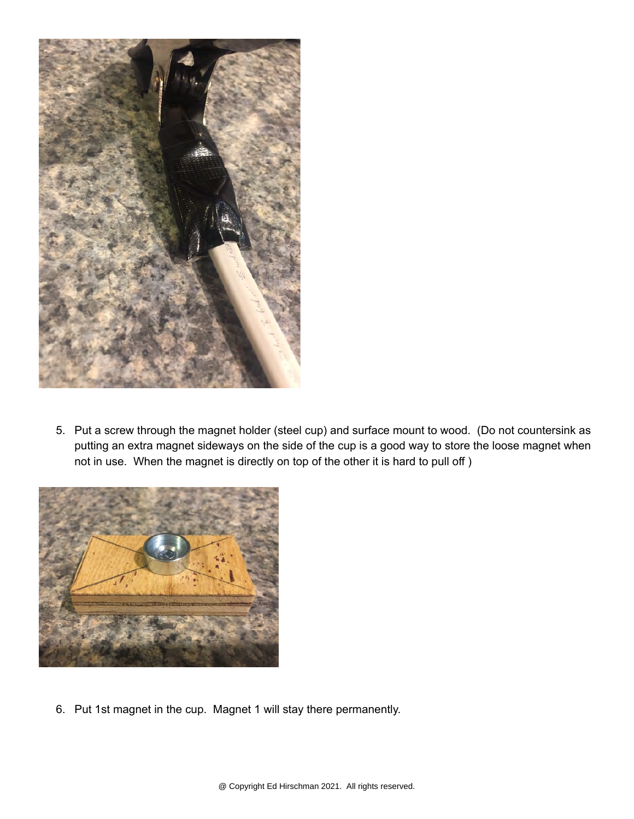

5. Put a screw through the magnet holder (steel cup) and surface mount to wood. (Do not countersink as putting an extra magnet sideways on the side of the cup is a good way to store the loose magnet when not in use. When the magnet is directly on top of the other it is hard to pull off )



6. Put 1st magnet in the cup. Magnet 1 will stay there permanently.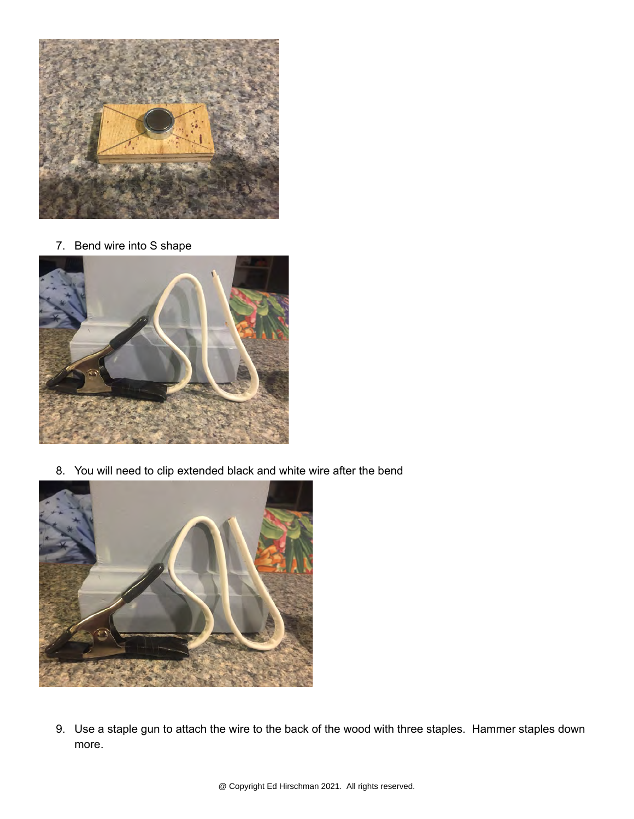

7. Bend wire into S shape



8. You will need to clip extended black and white wire after the bend



9. Use a staple gun to attach the wire to the back of the wood with three staples. Hammer staples down more.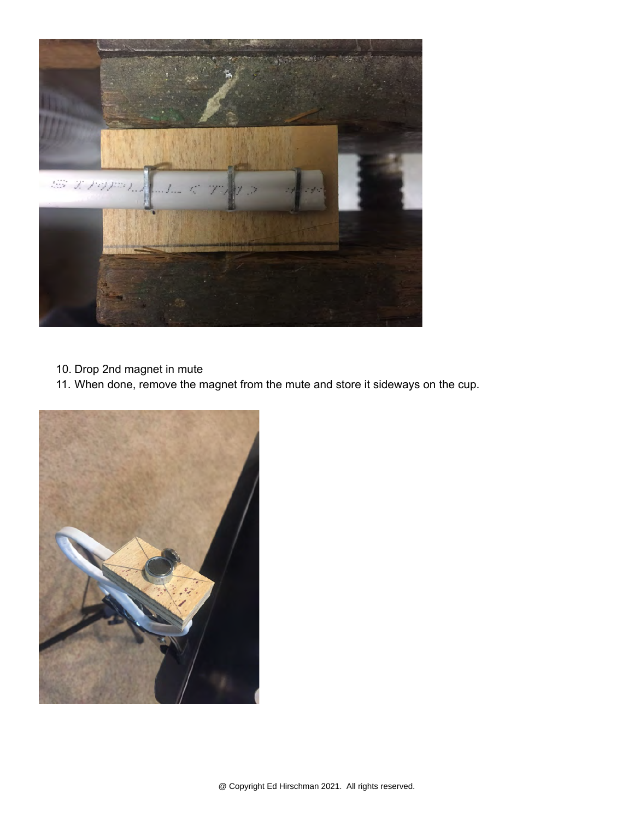

- 10. Drop 2nd magnet in mute
- 11. When done, remove the magnet from the mute and store it sideways on the cup.